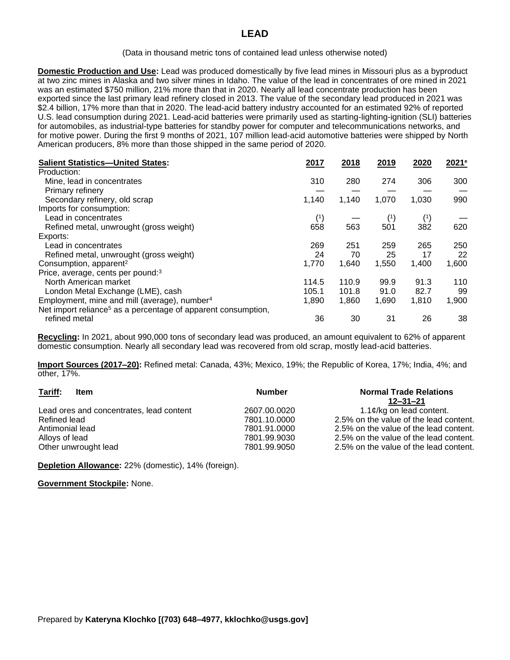## (Data in thousand metric tons of contained lead unless otherwise noted)

**Domestic Production and Use:** Lead was produced domestically by five lead mines in Missouri plus as a byproduct at two zinc mines in Alaska and two silver mines in Idaho. The value of the lead in concentrates of ore mined in 2021 was an estimated \$750 million, 21% more than that in 2020. Nearly all lead concentrate production has been exported since the last primary lead refinery closed in 2013. The value of the secondary lead produced in 2021 was \$2.4 billion, 17% more than that in 2020. The lead-acid battery industry accounted for an estimated 92% of reported U.S. lead consumption during 2021. Lead-acid batteries were primarily used as starting-lighting-ignition (SLI) batteries for automobiles, as industrial-type batteries for standby power for computer and telecommunications networks, and for motive power. During the first 9 months of 2021, 107 million lead-acid automotive batteries were shipped by North American producers, 8% more than those shipped in the same period of 2020.

| <b>Salient Statistics-United States:</b>                                  | 2017  | 2018  | 2019  | 2020  | 2021 <sup>e</sup> |
|---------------------------------------------------------------------------|-------|-------|-------|-------|-------------------|
| Production:                                                               |       |       |       |       |                   |
| Mine, lead in concentrates                                                | 310   | 280   | 274   | 306   | 300               |
| Primary refinery                                                          |       |       |       |       |                   |
| Secondary refinery, old scrap                                             | 1,140 | 1,140 | 1,070 | 1,030 | 990               |
| Imports for consumption:                                                  |       |       |       |       |                   |
| Lead in concentrates                                                      | (1)   |       | (1)   | (1)   |                   |
| Refined metal, unwrought (gross weight)                                   | 658   | 563   | 501   | 382   | 620               |
| Exports:                                                                  |       |       |       |       |                   |
| Lead in concentrates                                                      | 269   | 251   | 259   | 265   | 250               |
| Refined metal, unwrought (gross weight)                                   | 24    | 70    | 25    | 17    | 22                |
| Consumption, apparent <sup>2</sup>                                        | 1,770 | 1,640 | 1,550 | 1,400 | 1,600             |
| Price, average, cents per pound: <sup>3</sup>                             |       |       |       |       |                   |
| North American market                                                     | 114.5 | 110.9 | 99.9  | 91.3  | 110               |
| London Metal Exchange (LME), cash                                         | 105.1 | 101.8 | 91.0  | 82.7  | 99                |
| Employment, mine and mill (average), number <sup>4</sup>                  | 1,890 | 1,860 | 1,690 | 1,810 | 1,900             |
| Net import reliance <sup>5</sup> as a percentage of apparent consumption, |       |       |       |       |                   |
| refined metal                                                             | 36    | 30    | 31    | 26    | 38                |
|                                                                           |       |       |       |       |                   |

**Recycling:** In 2021, about 990,000 tons of secondary lead was produced, an amount equivalent to 62% of apparent domestic consumption. Nearly all secondary lead was recovered from old scrap, mostly lead-acid batteries.

**Import Sources (2017–20):** Refined metal: Canada, 43%; Mexico, 19%; the Republic of Korea, 17%; India, 4%; and other, 17%.

| Tariff:<br>Item                          | <b>Number</b> | <b>Normal Trade Relations</b><br>12–31–21 |
|------------------------------------------|---------------|-------------------------------------------|
| Lead ores and concentrates, lead content | 2607.00.0020  | 1.1 $\phi$ /kg on lead content.           |
| Refined lead                             | 7801.10.0000  | 2.5% on the value of the lead content.    |
| Antimonial lead                          | 7801.91.0000  | 2.5% on the value of the lead content.    |
| Alloys of lead                           | 7801.99.9030  | 2.5% on the value of the lead content.    |
| Other unwrought lead                     | 7801.99.9050  | 2.5% on the value of the lead content.    |

**Depletion Allowance:** 22% (domestic), 14% (foreign).

## **Government Stockpile:** None.